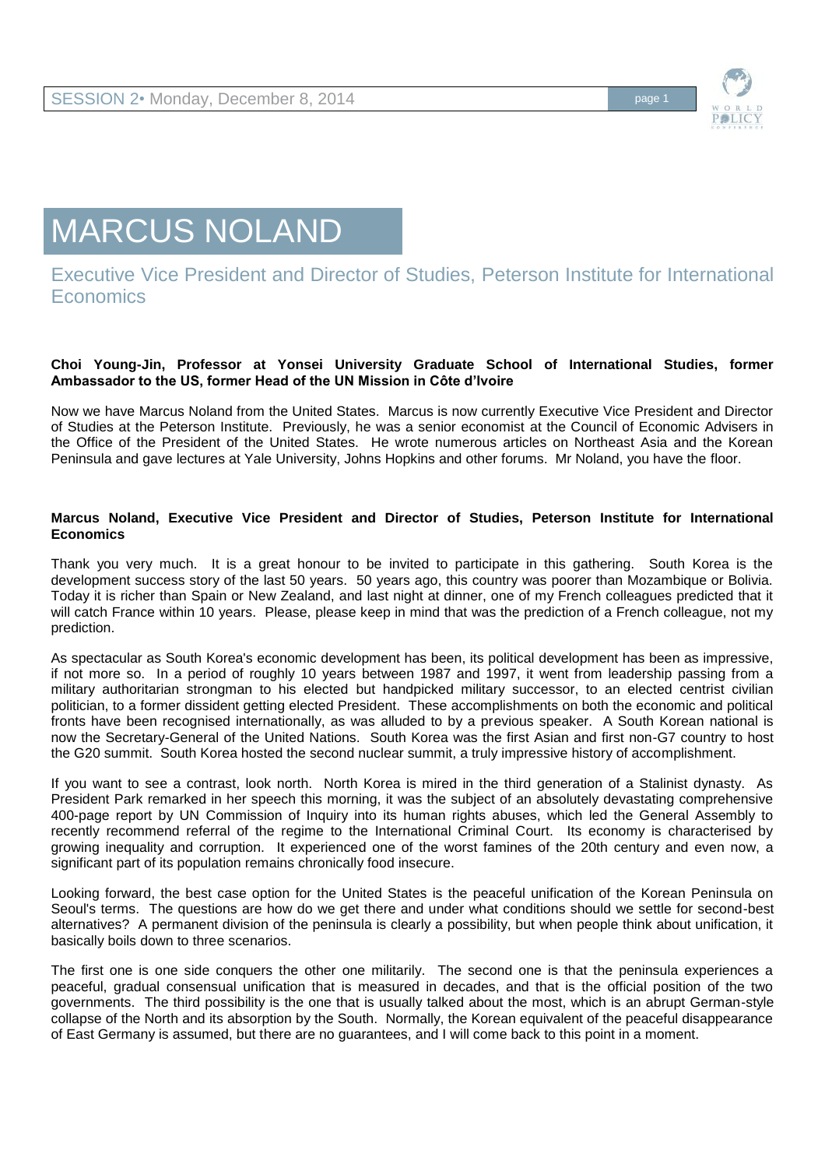

# MARCUS NOLAND

## Executive Vice President and Director of Studies, Peterson Institute for International **Economics**

#### **Choi Young-Jin, Professor at Yonsei University Graduate School of International Studies, former Ambassador to the US, former Head of the UN Mission in Côte d'Ivoire**

Now we have Marcus Noland from the United States. Marcus is now currently Executive Vice President and Director of Studies at the Peterson Institute. Previously, he was a senior economist at the Council of Economic Advisers in the Office of the President of the United States. He wrote numerous articles on Northeast Asia and the Korean Peninsula and gave lectures at Yale University, Johns Hopkins and other forums. Mr Noland, you have the floor.

#### **Marcus Noland, Executive Vice President and Director of Studies, Peterson Institute for International Economics**

Thank you very much. It is a great honour to be invited to participate in this gathering. South Korea is the development success story of the last 50 years. 50 years ago, this country was poorer than Mozambique or Bolivia. Today it is richer than Spain or New Zealand, and last night at dinner, one of my French colleagues predicted that it will catch France within 10 years. Please, please keep in mind that was the prediction of a French colleague, not my prediction.

As spectacular as South Korea's economic development has been, its political development has been as impressive, if not more so. In a period of roughly 10 years between 1987 and 1997, it went from leadership passing from a military authoritarian strongman to his elected but handpicked military successor, to an elected centrist civilian politician, to a former dissident getting elected President. These accomplishments on both the economic and political fronts have been recognised internationally, as was alluded to by a previous speaker. A South Korean national is now the Secretary-General of the United Nations. South Korea was the first Asian and first non-G7 country to host the G20 summit. South Korea hosted the second nuclear summit, a truly impressive history of accomplishment.

If you want to see a contrast, look north. North Korea is mired in the third generation of a Stalinist dynasty. As President Park remarked in her speech this morning, it was the subject of an absolutely devastating comprehensive 400-page report by UN Commission of Inquiry into its human rights abuses, which led the General Assembly to recently recommend referral of the regime to the International Criminal Court. Its economy is characterised by growing inequality and corruption. It experienced one of the worst famines of the 20th century and even now, a significant part of its population remains chronically food insecure.

Looking forward, the best case option for the United States is the peaceful unification of the Korean Peninsula on Seoul's terms. The questions are how do we get there and under what conditions should we settle for second-best alternatives? A permanent division of the peninsula is clearly a possibility, but when people think about unification, it basically boils down to three scenarios.

The first one is one side conquers the other one militarily. The second one is that the peninsula experiences a peaceful, gradual consensual unification that is measured in decades, and that is the official position of the two governments. The third possibility is the one that is usually talked about the most, which is an abrupt German-style collapse of the North and its absorption by the South. Normally, the Korean equivalent of the peaceful disappearance of East Germany is assumed, but there are no guarantees, and I will come back to this point in a moment.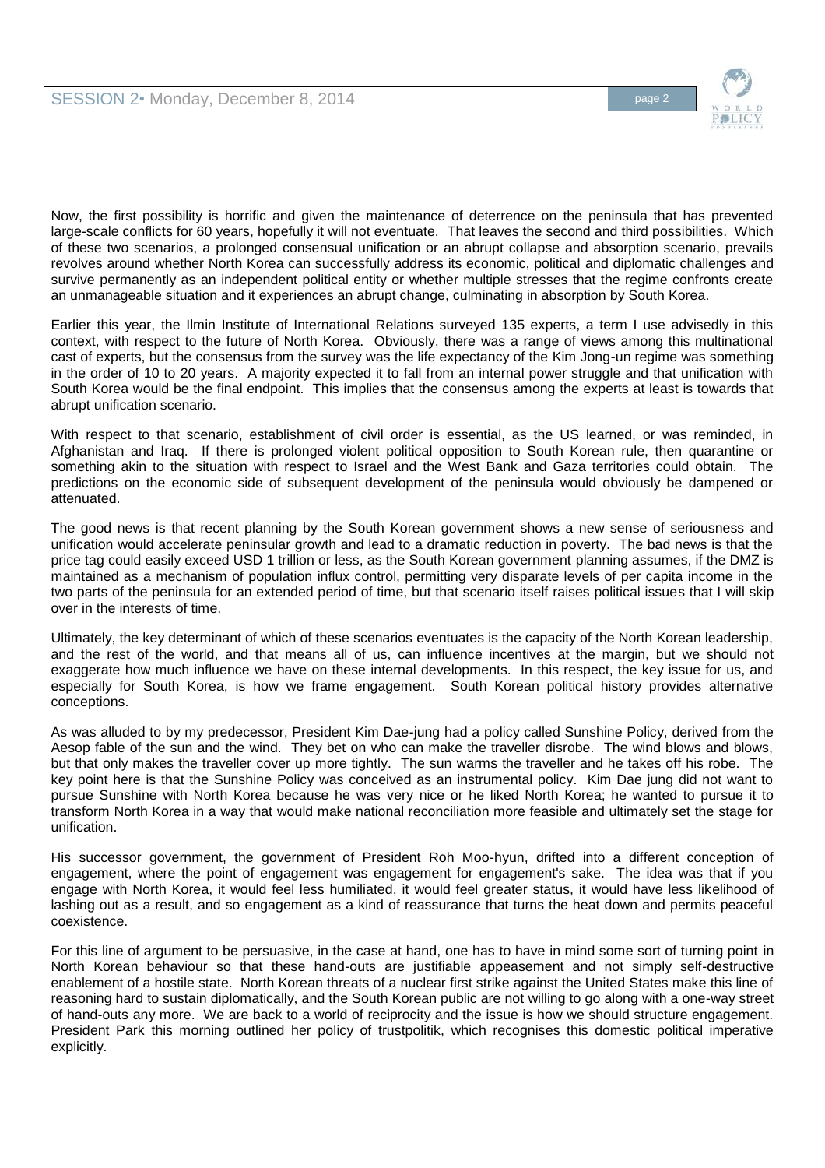

Now, the first possibility is horrific and given the maintenance of deterrence on the peninsula that has prevented large-scale conflicts for 60 years, hopefully it will not eventuate. That leaves the second and third possibilities. Which of these two scenarios, a prolonged consensual unification or an abrupt collapse and absorption scenario, prevails revolves around whether North Korea can successfully address its economic, political and diplomatic challenges and survive permanently as an independent political entity or whether multiple stresses that the regime confronts create an unmanageable situation and it experiences an abrupt change, culminating in absorption by South Korea.

Earlier this year, the Ilmin Institute of International Relations surveyed 135 experts, a term I use advisedly in this context, with respect to the future of North Korea. Obviously, there was a range of views among this multinational cast of experts, but the consensus from the survey was the life expectancy of the Kim Jong-un regime was something in the order of 10 to 20 years. A majority expected it to fall from an internal power struggle and that unification with South Korea would be the final endpoint. This implies that the consensus among the experts at least is towards that abrupt unification scenario.

With respect to that scenario, establishment of civil order is essential, as the US learned, or was reminded, in Afghanistan and Iraq. If there is prolonged violent political opposition to South Korean rule, then quarantine or something akin to the situation with respect to Israel and the West Bank and Gaza territories could obtain. The predictions on the economic side of subsequent development of the peninsula would obviously be dampened or attenuated.

The good news is that recent planning by the South Korean government shows a new sense of seriousness and unification would accelerate peninsular growth and lead to a dramatic reduction in poverty. The bad news is that the price tag could easily exceed USD 1 trillion or less, as the South Korean government planning assumes, if the DMZ is maintained as a mechanism of population influx control, permitting very disparate levels of per capita income in the two parts of the peninsula for an extended period of time, but that scenario itself raises political issues that I will skip over in the interests of time.

Ultimately, the key determinant of which of these scenarios eventuates is the capacity of the North Korean leadership, and the rest of the world, and that means all of us, can influence incentives at the margin, but we should not exaggerate how much influence we have on these internal developments. In this respect, the key issue for us, and especially for South Korea, is how we frame engagement. South Korean political history provides alternative conceptions.

As was alluded to by my predecessor, President Kim Dae-jung had a policy called Sunshine Policy, derived from the Aesop fable of the sun and the wind. They bet on who can make the traveller disrobe. The wind blows and blows, but that only makes the traveller cover up more tightly. The sun warms the traveller and he takes off his robe. The key point here is that the Sunshine Policy was conceived as an instrumental policy. Kim Dae jung did not want to pursue Sunshine with North Korea because he was very nice or he liked North Korea; he wanted to pursue it to transform North Korea in a way that would make national reconciliation more feasible and ultimately set the stage for unification.

His successor government, the government of President Roh Moo-hyun, drifted into a different conception of engagement, where the point of engagement was engagement for engagement's sake. The idea was that if you engage with North Korea, it would feel less humiliated, it would feel greater status, it would have less likelihood of lashing out as a result, and so engagement as a kind of reassurance that turns the heat down and permits peaceful coexistence.

For this line of argument to be persuasive, in the case at hand, one has to have in mind some sort of turning point in North Korean behaviour so that these hand-outs are justifiable appeasement and not simply self-destructive enablement of a hostile state. North Korean threats of a nuclear first strike against the United States make this line of reasoning hard to sustain diplomatically, and the South Korean public are not willing to go along with a one-way street of hand-outs any more. We are back to a world of reciprocity and the issue is how we should structure engagement. President Park this morning outlined her policy of trustpolitik, which recognises this domestic political imperative explicitly.